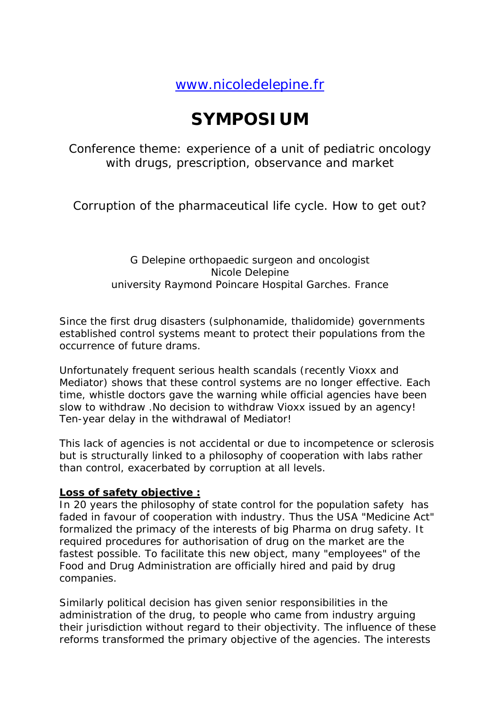[www.nicoledelepine.fr](http://www.nicoledelepine.fr/)

# **SYMPOSIUM**

Conference theme: experience of a unit of pediatric oncology with drugs, prescription, observance and market

Corruption of the pharmaceutical life cycle. How to get out?

## G Delepine orthopaedic surgeon and oncologist Nicole Delepine university Raymond Poincare Hospital Garches. France

Since the first drug disasters (sulphonamide, thalidomide) governments established control systems meant to protect their populations from the occurrence of future drams.

Unfortunately frequent serious health scandals (recently Vioxx and Mediator) shows that these control systems are no longer effective. Each time, whistle doctors gave the warning while official agencies have been slow to withdraw .No decision to withdraw Vioxx issued by an agency! Ten-year delay in the withdrawal of Mediator!

This lack of agencies is not accidental or due to incompetence or sclerosis but is structurally linked to a philosophy of cooperation with labs rather than control, exacerbated by corruption at all levels.

### **Loss of safety objective :**

In 20 years the philosophy of state control for the population safety has faded in favour of cooperation with industry. Thus the USA "Medicine Act" formalized the primacy of the interests of big Pharma on drug safety. It required procedures for authorisation of drug on the market are the fastest possible. To facilitate this new object, many "employees" of the Food and Drug Administration are officially hired and paid by drug companies.

Similarly political decision has given senior responsibilities in the administration of the drug, to people who came from industry arguing their jurisdiction without regard to their objectivity. The influence of these reforms transformed the primary objective of the agencies. The interests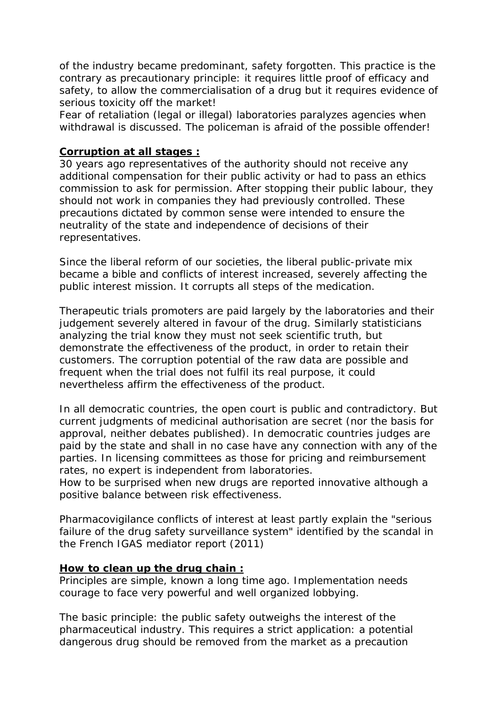of the industry became predominant, safety forgotten. This practice is the contrary as precautionary principle: it requires little proof of efficacy and safety, to allow the commercialisation of a drug but it requires evidence of serious toxicity off the market!

Fear of retaliation (legal or illegal) laboratories paralyzes agencies when withdrawal is discussed. The policeman is afraid of the possible offender!

#### **Corruption at all stages :**

30 years ago representatives of the authority should not receive any additional compensation for their public activity or had to pass an ethics commission to ask for permission. After stopping their public labour, they should not work in companies they had previously controlled. These precautions dictated by common sense were intended to ensure the neutrality of the state and independence of decisions of their representatives.

Since the liberal reform of our societies, the liberal public-private mix became a bible and conflicts of interest increased, severely affecting the public interest mission. It corrupts all steps of the medication.

Therapeutic trials promoters are paid largely by the laboratories and their judgement severely altered in favour of the drug. Similarly statisticians analyzing the trial know they must not seek scientific truth, but demonstrate the effectiveness of the product, in order to retain their customers. The corruption potential of the raw data are possible and frequent when the trial does not fulfil its real purpose, it could nevertheless affirm the effectiveness of the product.

In all democratic countries, the open court is public and contradictory. But current judgments of medicinal authorisation are secret (nor the basis for approval, neither debates published). In democratic countries judges are paid by the state and shall in no case have any connection with any of the parties. In licensing committees as those for pricing and reimbursement rates, no expert is independent from laboratories.

How to be surprised when new drugs are reported innovative although a positive balance between risk effectiveness.

Pharmacovigilance conflicts of interest at least partly explain the "serious failure of the drug safety surveillance system" identified by the scandal in the French IGAS mediator report (2011)

#### **How to clean up the drug chain :**

Principles are simple, known a long time ago. Implementation needs courage to face very powerful and well organized lobbying.

The basic principle: the public safety outweighs the interest of the pharmaceutical industry. This requires a strict application: a potential dangerous drug should be removed from the market as a precaution